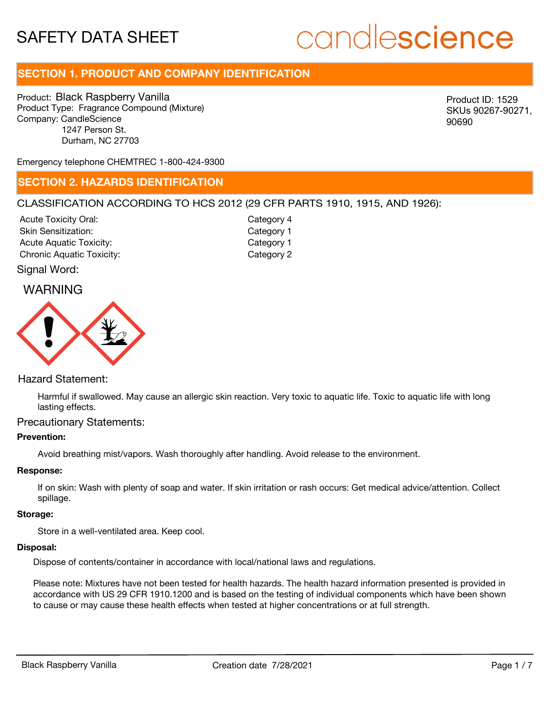# candlescience

## **SECTION 1. PRODUCT AND COMPANY IDENTIFICATION**

Product: Black Raspberry Vanilla Product Type: Fragrance Compound (Mixture) Company: CandleScience 1247 Person St. Durham, NC 27703

Product ID: 1529 SKUs 90267-90271, 90690

Emergency telephone CHEMTREC 1-800-424-9300

### **SECTION 2. HAZARDS IDENTIFICATION**

#### CLASSIFICATION ACCORDING TO HCS 2012 (29 CFR PARTS 1910, 1915, AND 1926):

Acute Toxicity Oral: Skin Sensitization: Acute Aquatic Toxicity: Category 1 Chronic Aquatic Toxicity: Chronic Aquatic Toxicity:

Category 4 Category 1

#### Signal Word:

## WARNING



#### Hazard Statement:

Harmful if swallowed. May cause an allergic skin reaction. Very toxic to aquatic life. Toxic to aquatic life with long lasting effects.

#### Precautionary Statements:

#### **Prevention:**

Avoid breathing mist/vapors. Wash thoroughly after handling. Avoid release to the environment.

#### **Response:**

If on skin: Wash with plenty of soap and water. If skin irritation or rash occurs: Get medical advice/attention. Collect spillage.

#### **Storage:**

Store in a well-ventilated area. Keep cool.

#### **Disposal:**

Dispose of contents/container in accordance with local/national laws and regulations.

Please note: Mixtures have not been tested for health hazards. The health hazard information presented is provided in accordance with US 29 CFR 1910.1200 and is based on the testing of individual components which have been shown to cause or may cause these health effects when tested at higher concentrations or at full strength.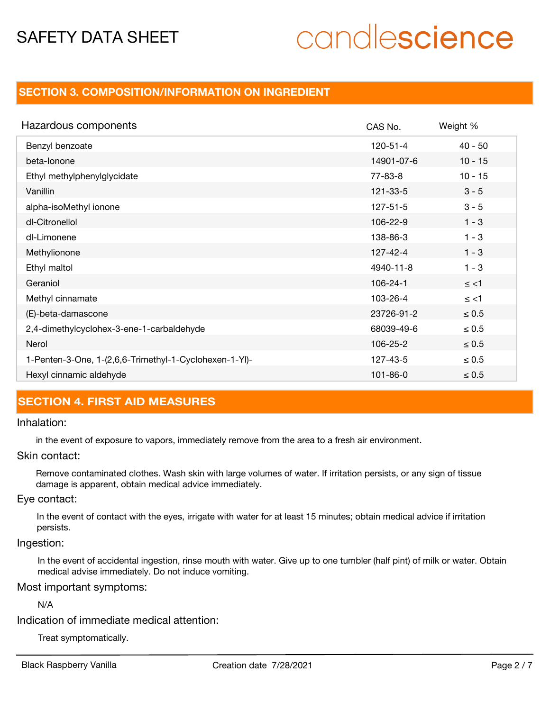# candlescience

## **SECTION 3. COMPOSITION/INFORMATION ON INGREDIENT**

| Hazardous components                                   | CAS No.        | Weight %   |
|--------------------------------------------------------|----------------|------------|
| Benzyl benzoate                                        | $120 - 51 - 4$ | $40 - 50$  |
| beta-lonone                                            | 14901-07-6     | $10 - 15$  |
| Ethyl methylphenylglycidate                            | 77-83-8        | $10 - 15$  |
| Vanillin                                               | 121-33-5       | $3 - 5$    |
| alpha-isoMethyl ionone                                 | $127 - 51 - 5$ | $3 - 5$    |
| dl-Citronellol                                         | 106-22-9       | $1 - 3$    |
| dl-Limonene                                            | 138-86-3       | $1 - 3$    |
| Methylionone                                           | 127-42-4       | $1 - 3$    |
| Ethyl maltol                                           | 4940-11-8      | $1 - 3$    |
| Geraniol                                               | $106 - 24 - 1$ | $\le$ <1   |
| Methyl cinnamate                                       | 103-26-4       | $\le$ <1   |
| (E)-beta-damascone                                     | 23726-91-2     | $\leq 0.5$ |
| 2,4-dimethylcyclohex-3-ene-1-carbaldehyde              | 68039-49-6     | $\leq 0.5$ |
| Nerol                                                  | 106-25-2       | $\leq 0.5$ |
| 1-Penten-3-One, 1-(2,6,6-Trimethyl-1-Cyclohexen-1-Yl)- | 127-43-5       | $\leq 0.5$ |
| Hexyl cinnamic aldehyde                                | $101 - 86 - 0$ | $\leq 0.5$ |

## **SECTION 4. FIRST AID MEASURES**

#### Inhalation:

in the event of exposure to vapors, immediately remove from the area to a fresh air environment.

#### Skin contact:

Remove contaminated clothes. Wash skin with large volumes of water. If irritation persists, or any sign of tissue damage is apparent, obtain medical advice immediately.

#### Eye contact:

In the event of contact with the eyes, irrigate with water for at least 15 minutes; obtain medical advice if irritation persists.

#### Ingestion:

In the event of accidental ingestion, rinse mouth with water. Give up to one tumbler (half pint) of milk or water. Obtain medical advise immediately. Do not induce vomiting.

#### Most important symptoms:

N/A

Indication of immediate medical attention:

Treat symptomatically.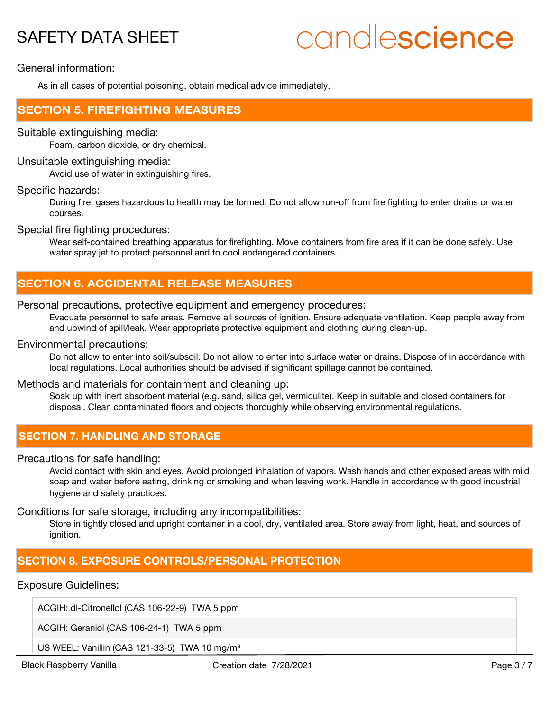# candlescience

General information:

As in all cases of potential poisoning, obtain medical advice immediately.

## **SECTION 5. FIREFIGHTING MEASURES**

#### Suitable extinguishing media:

Foam, carbon dioxide, or dry chemical.

#### Unsuitable extinguishing media:

Avoid use of water in extinguishing fires.

#### Specific hazards:

During fire, gases hazardous to health may be formed. Do not allow run-off from fire fighting to enter drains or water courses.

#### Special fire fighting procedures:

Wear self-contained breathing apparatus for firefighting. Move containers from fire area if it can be done safely. Use water spray jet to protect personnel and to cool endangered containers.

## **SECTION 6. ACCIDENTAL RELEASE MEASURES**

#### Personal precautions, protective equipment and emergency procedures:

Evacuate personnel to safe areas. Remove all sources of ignition. Ensure adequate ventilation. Keep people away from and upwind of spill/leak. Wear appropriate protective equipment and clothing during clean-up.

#### Environmental precautions:

Do not allow to enter into soil/subsoil. Do not allow to enter into surface water or drains. Dispose of in accordance with local regulations. Local authorities should be advised if significant spillage cannot be contained.

#### Methods and materials for containment and cleaning up:

Soak up with inert absorbent material (e.g. sand, silica gel, vermiculite). Keep in suitable and closed containers for disposal. Clean contaminated floors and objects thoroughly while observing environmental regulations.

## **SECTION 7. HANDLING AND STORAGE**

#### Precautions for safe handling:

Avoid contact with skin and eyes. Avoid prolonged inhalation of vapors. Wash hands and other exposed areas with mild soap and water before eating, drinking or smoking and when leaving work. Handle in accordance with good industrial hygiene and safety practices.

#### Conditions for safe storage, including any incompatibilities:

Store in tightly closed and upright container in a cool, dry, ventilated area. Store away from light, heat, and sources of ignition.

## **SECTION 8. EXPOSURE CONTROLS/PERSONAL PROTECTION**

#### Exposure Guidelines:

ACGIH: dl-Citronellol (CAS 106-22-9) TWA 5 ppm

ACGIH: Geraniol (CAS 106-24-1) TWA 5 ppm

US WEEL: Vanillin (CAS 121-33-5) TWA 10 mg/m<sup>3</sup>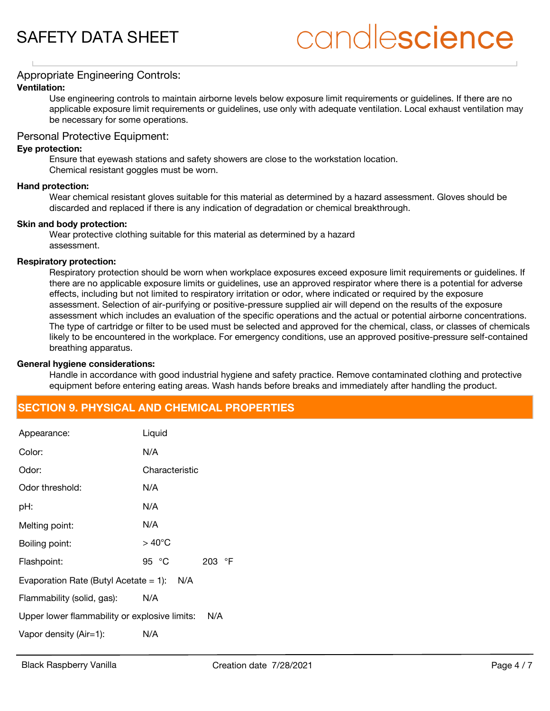## candlescience

#### Appropriate Engineering Controls:

#### **Ventilation:**

Use engineering controls to maintain airborne levels below exposure limit requirements or guidelines. If there are no applicable exposure limit requirements or guidelines, use only with adequate ventilation. Local exhaust ventilation may be necessary for some operations.

#### Personal Protective Equipment:

#### **Eye protection:**

Ensure that eyewash stations and safety showers are close to the workstation location. Chemical resistant goggles must be worn.

#### **Hand protection:**

Wear chemical resistant gloves suitable for this material as determined by a hazard assessment. Gloves should be discarded and replaced if there is any indication of degradation or chemical breakthrough.

#### **Skin and body protection:**

Wear protective clothing suitable for this material as determined by a hazard assessment.

#### **Respiratory protection:**

Respiratory protection should be worn when workplace exposures exceed exposure limit requirements or guidelines. If there are no applicable exposure limits or guidelines, use an approved respirator where there is a potential for adverse effects, including but not limited to respiratory irritation or odor, where indicated or required by the exposure assessment. Selection of air-purifying or positive-pressure supplied air will depend on the results of the exposure assessment which includes an evaluation of the specific operations and the actual or potential airborne concentrations. The type of cartridge or filter to be used must be selected and approved for the chemical, class, or classes of chemicals likely to be encountered in the workplace. For emergency conditions, use an approved positive-pressure self-contained breathing apparatus.

#### **General hygiene considerations:**

Handle in accordance with good industrial hygiene and safety practice. Remove contaminated clothing and protective equipment before entering eating areas. Wash hands before breaks and immediately after handling the product.

## **SECTION 9. PHYSICAL AND CHEMICAL PROPERTIES**

| Appearance:                                     | Liquid          |        |  |  |
|-------------------------------------------------|-----------------|--------|--|--|
| Color:                                          | N/A             |        |  |  |
| Odor:                                           | Characteristic  |        |  |  |
| Odor threshold:                                 | N/A             |        |  |  |
| pH:                                             | N/A             |        |  |  |
| Melting point:                                  | N/A             |        |  |  |
| Boiling point:                                  | $>40^{\circ}$ C |        |  |  |
| Flashpoint:                                     | 95 °C           | 203 °F |  |  |
| N/A<br>Evaporation Rate (Butyl Acetate $= 1$ ): |                 |        |  |  |
| Flammability (solid, gas):                      | N/A             |        |  |  |
| Upper lower flammability or explosive limits:   |                 | N/A    |  |  |
| Vapor density (Air=1):                          | N/A             |        |  |  |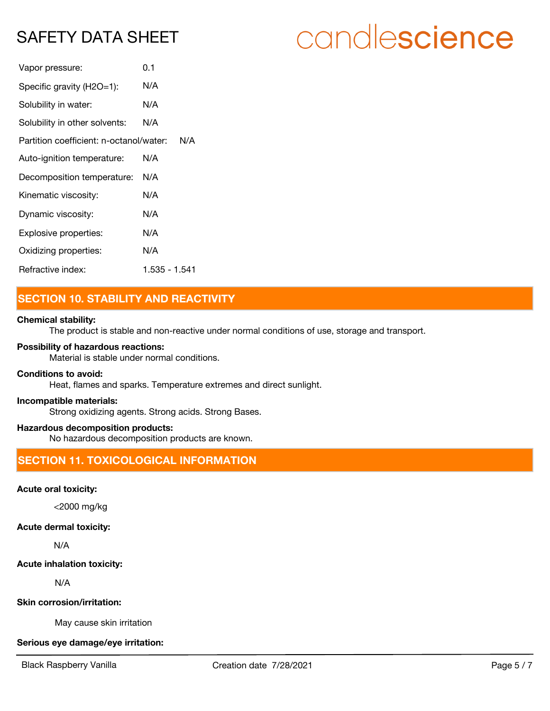| Vapor pressure:                         | 0.1           |
|-----------------------------------------|---------------|
| Specific gravity (H2O=1):               | N/A           |
| Solubility in water:                    | N/A           |
| Solubility in other solvents:           | N/A           |
| Partition coefficient: n-octanol/water: | N/A           |
| Auto-ignition temperature:              | N/A           |
| Decomposition temperature:              | N/A           |
| Kinematic viscosity:                    | N/A           |
| Dynamic viscosity:                      | N/A           |
| Explosive properties:                   | N/A           |
| Oxidizing properties:                   | N/A           |
| Refractive index:                       | 1.535 - 1.541 |

## **SECTION 10. STABILITY AND REACTIVITY**

#### **Chemical stability:**

The product is stable and non-reactive under normal conditions of use, storage and transport.

#### **Possibility of hazardous reactions:**

Material is stable under normal conditions.

#### **Conditions to avoid:**

Heat, flames and sparks. Temperature extremes and direct sunlight.

#### **Incompatible materials:**

Strong oxidizing agents. Strong acids. Strong Bases.

#### **Hazardous decomposition products:**

No hazardous decomposition products are known.

## **SECTION 11. TOXICOLOGICAL INFORMATION**

#### **Acute oral toxicity:**

<2000 mg/kg

#### **Acute dermal toxicity:**

N/A

#### **Acute inhalation toxicity:**

N/A

#### **Skin corrosion/irritation:**

May cause skin irritation

#### **Serious eye damage/eye irritation:**

# candlescience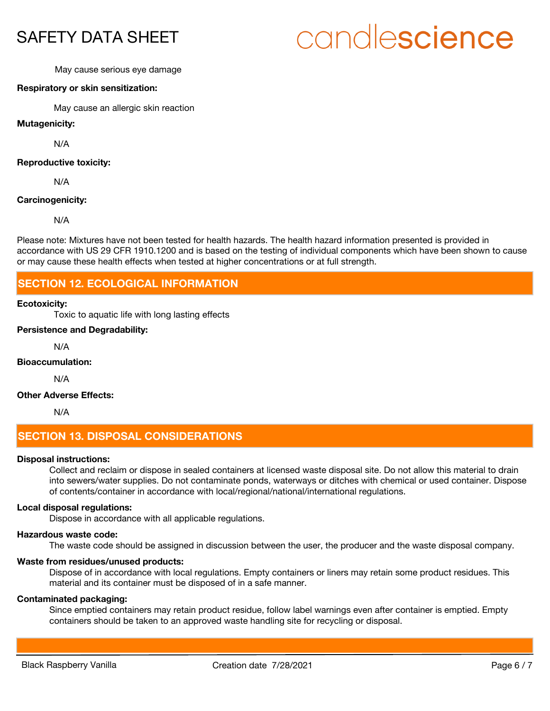# candlescience

#### May cause serious eye damage

#### **Respiratory or skin sensitization:**

May cause an allergic skin reaction

**Mutagenicity:**

N/A

#### **Reproductive toxicity:**

N/A

#### **Carcinogenicity:**

N/A

Please note: Mixtures have not been tested for health hazards. The health hazard information presented is provided in accordance with US 29 CFR 1910.1200 and is based on the testing of individual components which have been shown to cause or may cause these health effects when tested at higher concentrations or at full strength.

### **SECTION 12. ECOLOGICAL INFORMATION**

#### **Ecotoxicity:**

Toxic to aquatic life with long lasting effects

#### **Persistence and Degradability:**

N/A

#### **Bioaccumulation:**

N/A

#### **Other Adverse Effects:**

N/A

## **SECTION 13. DISPOSAL CONSIDERATIONS**

#### **Disposal instructions:**

Collect and reclaim or dispose in sealed containers at licensed waste disposal site. Do not allow this material to drain into sewers/water supplies. Do not contaminate ponds, waterways or ditches with chemical or used container. Dispose of contents/container in accordance with local/regional/national/international regulations.

#### **Local disposal regulations:**

Dispose in accordance with all applicable regulations.

#### **Hazardous waste code:**

The waste code should be assigned in discussion between the user, the producer and the waste disposal company.

#### **Waste from residues/unused products:**

Dispose of in accordance with local regulations. Empty containers or liners may retain some product residues. This material and its container must be disposed of in a safe manner.

#### **Contaminated packaging:**

Since emptied containers may retain product residue, follow label warnings even after container is emptied. Empty containers should be taken to an approved waste handling site for recycling or disposal.